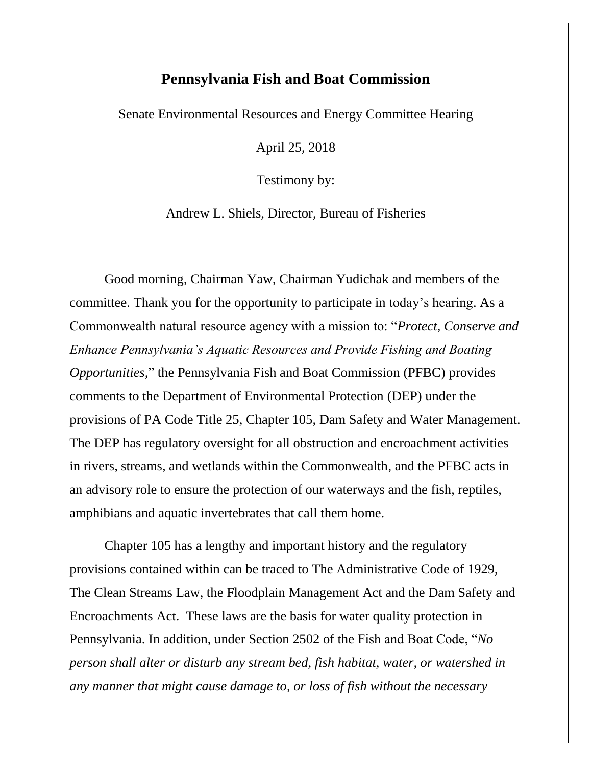## **Pennsylvania Fish and Boat Commission**

Senate Environmental Resources and Energy Committee Hearing

April 25, 2018

Testimony by:

Andrew L. Shiels, Director, Bureau of Fisheries

Good morning, Chairman Yaw, Chairman Yudichak and members of the committee. Thank you for the opportunity to participate in today's hearing. As a Commonwealth natural resource agency with a mission to: "*Protect, Conserve and Enhance Pennsylvania's Aquatic Resources and Provide Fishing and Boating Opportunities,*" the Pennsylvania Fish and Boat Commission (PFBC) provides comments to the Department of Environmental Protection (DEP) under the provisions of PA Code Title 25, Chapter 105, Dam Safety and Water Management. The DEP has regulatory oversight for all obstruction and encroachment activities in rivers, streams, and wetlands within the Commonwealth, and the PFBC acts in an advisory role to ensure the protection of our waterways and the fish, reptiles, amphibians and aquatic invertebrates that call them home.

Chapter 105 has a lengthy and important history and the regulatory provisions contained within can be traced to The Administrative Code of 1929, The Clean Streams Law, the Floodplain Management Act and the Dam Safety and Encroachments Act. These laws are the basis for water quality protection in Pennsylvania. In addition, under Section 2502 of the Fish and Boat Code, "*No person shall alter or disturb any stream bed, fish habitat, water, or watershed in any manner that might cause damage to, or loss of fish without the necessary*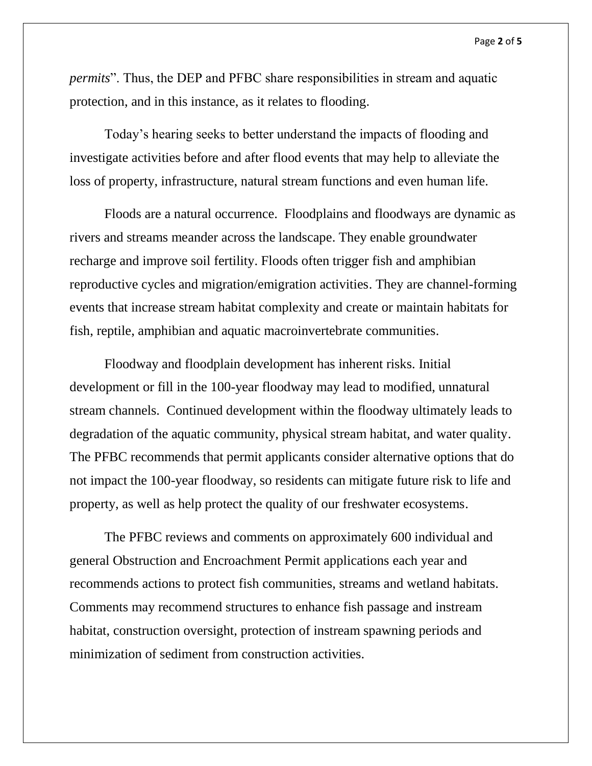*permits*". Thus, the DEP and PFBC share responsibilities in stream and aquatic protection, and in this instance, as it relates to flooding.

Today's hearing seeks to better understand the impacts of flooding and investigate activities before and after flood events that may help to alleviate the loss of property, infrastructure, natural stream functions and even human life.

Floods are a natural occurrence. Floodplains and floodways are dynamic as rivers and streams meander across the landscape. They enable groundwater recharge and improve soil fertility. Floods often trigger fish and amphibian reproductive cycles and migration/emigration activities. They are channel-forming events that increase stream habitat complexity and create or maintain habitats for fish, reptile, amphibian and aquatic macroinvertebrate communities.

Floodway and floodplain development has inherent risks. Initial development or fill in the 100-year floodway may lead to modified, unnatural stream channels. Continued development within the floodway ultimately leads to degradation of the aquatic community, physical stream habitat, and water quality. The PFBC recommends that permit applicants consider alternative options that do not impact the 100-year floodway, so residents can mitigate future risk to life and property, as well as help protect the quality of our freshwater ecosystems.

The PFBC reviews and comments on approximately 600 individual and general Obstruction and Encroachment Permit applications each year and recommends actions to protect fish communities, streams and wetland habitats. Comments may recommend structures to enhance fish passage and instream habitat, construction oversight, protection of instream spawning periods and minimization of sediment from construction activities.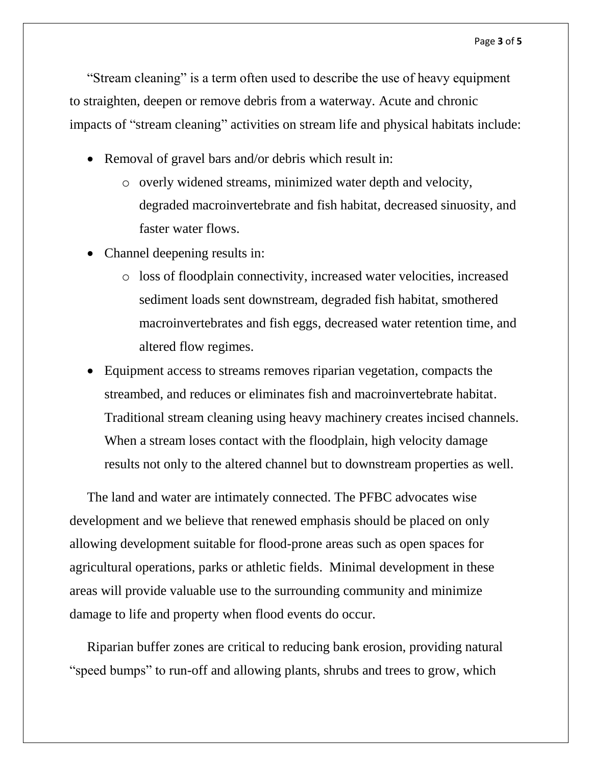"Stream cleaning" is a term often used to describe the use of heavy equipment to straighten, deepen or remove debris from a waterway. Acute and chronic impacts of "stream cleaning" activities on stream life and physical habitats include:

- Removal of gravel bars and/or debris which result in:
	- o overly widened streams, minimized water depth and velocity, degraded macroinvertebrate and fish habitat, decreased sinuosity, and faster water flows.
- Channel deepening results in:
	- o loss of floodplain connectivity, increased water velocities, increased sediment loads sent downstream, degraded fish habitat, smothered macroinvertebrates and fish eggs, decreased water retention time, and altered flow regimes.
- Equipment access to streams removes riparian vegetation, compacts the streambed, and reduces or eliminates fish and macroinvertebrate habitat. Traditional stream cleaning using heavy machinery creates incised channels. When a stream loses contact with the floodplain, high velocity damage results not only to the altered channel but to downstream properties as well.

The land and water are intimately connected. The PFBC advocates wise development and we believe that renewed emphasis should be placed on only allowing development suitable for flood-prone areas such as open spaces for agricultural operations, parks or athletic fields. Minimal development in these areas will provide valuable use to the surrounding community and minimize damage to life and property when flood events do occur.

Riparian buffer zones are critical to reducing bank erosion, providing natural "speed bumps" to run-off and allowing plants, shrubs and trees to grow, which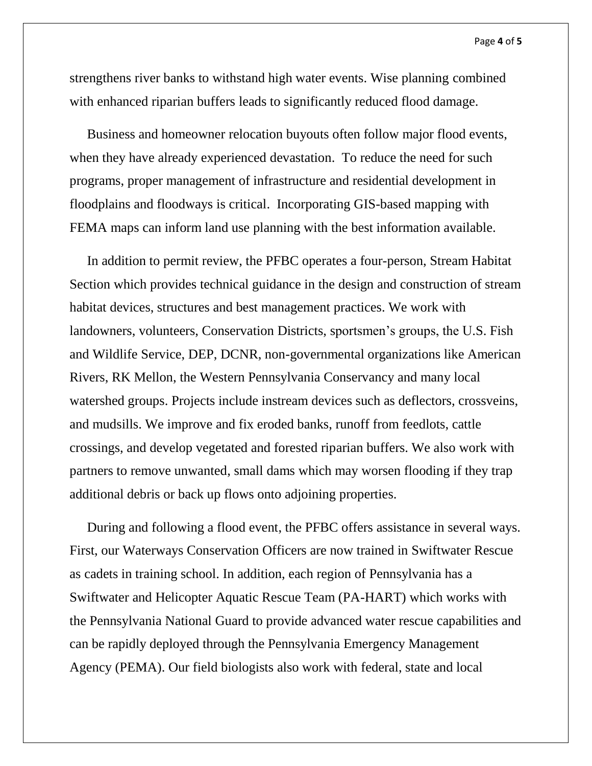strengthens river banks to withstand high water events. Wise planning combined with enhanced riparian buffers leads to significantly reduced flood damage.

Business and homeowner relocation buyouts often follow major flood events, when they have already experienced devastation. To reduce the need for such programs, proper management of infrastructure and residential development in floodplains and floodways is critical. Incorporating GIS-based mapping with FEMA maps can inform land use planning with the best information available.

In addition to permit review, the PFBC operates a four-person, Stream Habitat Section which provides technical guidance in the design and construction of stream habitat devices, structures and best management practices. We work with landowners, volunteers, Conservation Districts, sportsmen's groups, the U.S. Fish and Wildlife Service, DEP, DCNR, non-governmental organizations like American Rivers, RK Mellon, the Western Pennsylvania Conservancy and many local watershed groups. Projects include instream devices such as deflectors, crossveins, and mudsills. We improve and fix eroded banks, runoff from feedlots, cattle crossings, and develop vegetated and forested riparian buffers. We also work with partners to remove unwanted, small dams which may worsen flooding if they trap additional debris or back up flows onto adjoining properties.

During and following a flood event, the PFBC offers assistance in several ways. First, our Waterways Conservation Officers are now trained in Swiftwater Rescue as cadets in training school. In addition, each region of Pennsylvania has a Swiftwater and Helicopter Aquatic Rescue Team (PA-HART) which works with the Pennsylvania National Guard to provide advanced water rescue capabilities and can be rapidly deployed through the Pennsylvania Emergency Management Agency (PEMA). Our field biologists also work with federal, state and local